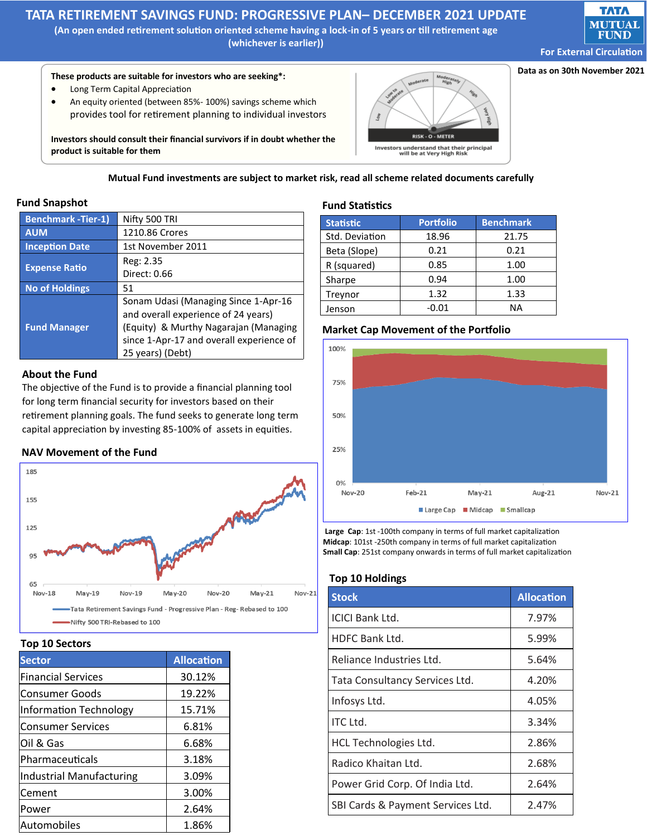# **TATA RETIREMENT SAVINGS FUND: PROGRESSIVE PLAN– DECEMBER 2021 UPDATE**

**(An open ended retirement solution oriented scheme having a lock-in of 5 years or till retirement age (whichever is earlier))** 



**Data as on 30th November 2021**

## **These products are suitable for investors who are seeking\*:**

- Long Term Capital Appreciation
- An equity oriented (between 85%- 100%) savings scheme which provides tool for retirement planning to individual investors

**Investors should consult their financial survivors if in doubt whether the product is suitable for them** 



**Mutual Fund investments are subject to market risk, read all scheme related documents carefully**

#### **Fund Snapshot**

| <b>Benchmark - Tier-1)</b> | Nifty 500 TRI                            |
|----------------------------|------------------------------------------|
| <b>AUM</b>                 | 1210.86 Crores                           |
| <b>Inception Date</b>      | 1st November 2011                        |
| <b>Expense Ratio</b>       | Reg: 2.35                                |
|                            | Direct: 0.66                             |
| <b>No of Holdings</b>      | 51                                       |
| <b>Fund Manager</b>        | Sonam Udasi (Managing Since 1-Apr-16     |
|                            | and overall experience of 24 years)      |
|                            | (Equity) & Murthy Nagarajan (Managing    |
|                            | since 1-Apr-17 and overall experience of |
|                            | 25 years) (Debt)                         |

#### **About the Fund**

The objective of the Fund is to provide a financial planning tool for long term financial security for investors based on their retirement planning goals. The fund seeks to generate long term capital appreciation by investing 85-100% of assets in equities.

## **NAV Movement of the Fund**



#### **Top 10 Sectors**

| <b>Sector</b>             | <b>Allocation</b> |
|---------------------------|-------------------|
| <b>Financial Services</b> | 30.12%            |
| Consumer Goods            | 19.22%            |
| Information Technology    | 15.71%            |
| <b>Consumer Services</b>  | 6.81%             |
| Oil & Gas                 | 6.68%             |
| Pharmaceuticals           | 3.18%             |
| Industrial Manufacturing  | 3.09%             |
| Cement                    | 3.00%             |
| Power                     | 2.64%             |
| Automobiles               | 1.86%             |

#### **Fund Statistics**

| <b>Statistic</b> | <b>Portfolio</b> | <b>Benchmark</b> |
|------------------|------------------|------------------|
| Std. Deviation   | 18.96            | 21.75            |
| Beta (Slope)     | 0.21             | 0.21             |
| R (squared)      | 0.85             | 1.00             |
| Sharpe           | 0.94             | 1.00             |
| Treynor          | 1.32             | 1.33             |
| Jenson           | $-0.01$          | <b>NA</b>        |



**Large Cap**: 1st -100th company in terms of full market capitalization **Midcap**: 101st -250th company in terms of full market capitalization **Small Cap**: 251st company onwards in terms of full market capitalization

#### **Top 10 Holdings**

| <b>Stock</b>                      | <b>Allocation</b> |
|-----------------------------------|-------------------|
| <b>ICICI Bank Ltd.</b>            | 7.97%             |
| HDFC Bank Ltd.                    | 5.99%             |
| Reliance Industries Ltd.          | 5.64%             |
| Tata Consultancy Services Ltd.    | 4.20%             |
| Infosys Ltd.                      | 4.05%             |
| <b>ITC Ltd.</b>                   | 3.34%             |
| HCL Technologies Ltd.             | 2.86%             |
| Radico Khaitan Ltd.               | 2.68%             |
| Power Grid Corp. Of India Ltd.    | 2.64%             |
| SBI Cards & Payment Services Ltd. | 2.47%             |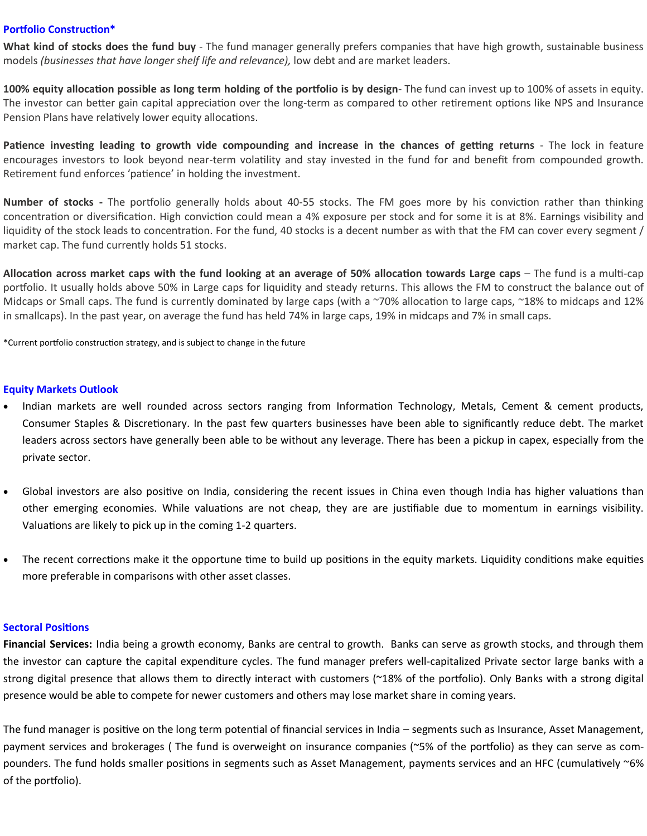## **Portfolio Construction\***

**What kind of stocks does the fund buy** - The fund manager generally prefers companies that have high growth, sustainable business models *(businesses that have longer shelf life and relevance),* low debt and are market leaders.

**100% equity allocation possible as long term holding of the portfolio is by design**- The fund can invest up to 100% of assets in equity. The investor can better gain capital appreciation over the long-term as compared to other retirement options like NPS and Insurance Pension Plans have relatively lower equity allocations.

**Patience investing leading to growth vide compounding and increase in the chances of getting returns** - The lock in feature encourages investors to look beyond near-term volatility and stay invested in the fund for and benefit from compounded growth. Retirement fund enforces 'patience' in holding the investment.

**Number of stocks -** The portfolio generally holds about 40-55 stocks. The FM goes more by his conviction rather than thinking concentration or diversification. High conviction could mean a 4% exposure per stock and for some it is at 8%. Earnings visibility and liquidity of the stock leads to concentration. For the fund, 40 stocks is a decent number as with that the FM can cover every segment / market cap. The fund currently holds 51 stocks.

**Allocation across market caps with the fund looking at an average of 50% allocation towards Large caps** – The fund is a multi-cap portfolio. It usually holds above 50% in Large caps for liquidity and steady returns. This allows the FM to construct the balance out of Midcaps or Small caps. The fund is currently dominated by large caps (with a ~70% allocation to large caps, ~18% to midcaps and 12% in smallcaps). In the past year, on average the fund has held 74% in large caps, 19% in midcaps and 7% in small caps.

\*Current portfolio construction strategy, and is subject to change in the future

## **Equity Markets Outlook**

- Indian markets are well rounded across sectors ranging from Information Technology, Metals, Cement & cement products, Consumer Staples & Discretionary. In the past few quarters businesses have been able to significantly reduce debt. The market leaders across sectors have generally been able to be without any leverage. There has been a pickup in capex, especially from the private sector.
- Global investors are also positive on India, considering the recent issues in China even though India has higher valuations than other emerging economies. While valuations are not cheap, they are are justifiable due to momentum in earnings visibility. Valuations are likely to pick up in the coming 1-2 quarters.
- The recent corrections make it the opportune time to build up positions in the equity markets. Liquidity conditions make equities more preferable in comparisons with other asset classes.

#### **Sectoral Positions**

**Financial Services:** India being a growth economy, Banks are central to growth. Banks can serve as growth stocks, and through them the investor can capture the capital expenditure cycles. The fund manager prefers well-capitalized Private sector large banks with a strong digital presence that allows them to directly interact with customers (~18% of the portfolio). Only Banks with a strong digital presence would be able to compete for newer customers and others may lose market share in coming years.

The fund manager is positive on the long term potential of financial services in India – segments such as Insurance, Asset Management, payment services and brokerages ( The fund is overweight on insurance companies (~5% of the portfolio) as they can serve as compounders. The fund holds smaller positions in segments such as Asset Management, payments services and an HFC (cumulatively ~6% of the portfolio).